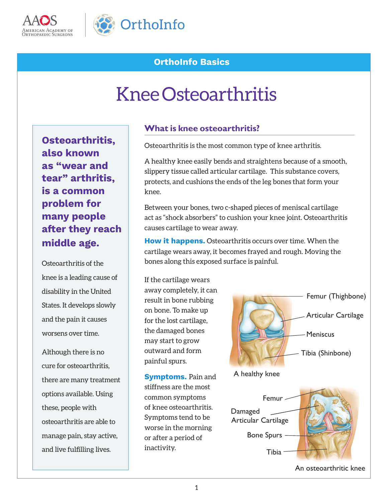



# **OrthoInfo Basics**

# Knee Osteoarthritis

**Osteoarthritis, also known as "wear and tear" arthritis, is a common problem for many people after they reach middle age.** 

Osteoarthritis of the knee is a leading cause of disability in the United States. It develops slowly and the pain it causes worsens over time.

Although there is no cure for osteoarthritis, there are many treatment options available. Using these, people with osteoarthritis are able to manage pain, stay active, and live fulfilling lives.

### **What is knee osteoarthritis?**

Osteoarthritis is the most common type of knee arthritis.

A healthy knee easily bends and straightens because of a smooth, slippery tissue called articular cartilage. This substance covers, protects, and cushions the ends of the leg bones that form your knee.

Between your bones, two c-shaped pieces of meniscal cartilage act as "shock absorbers" to cushion your knee joint. Osteoarthritis causes cartilage to wear away.

**How it happens.** Osteoarthritis occurs over time. When the cartilage wears away, it becomes frayed and rough. Moving the bones along this exposed surface is painful.

If the cartilage wears away completely, it can result in bone rubbing on bone. To make up for the lost cartilage, the damaged bones may start to grow outward and form painful spurs.

**Symptoms.** Pain and stiffness are the most common symptoms of knee osteoarthritis. Symptoms tend to be worse in the morning or after a period of inactivity.



A healthy knee

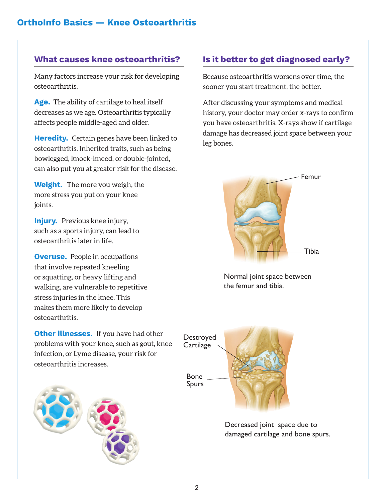Many factors increase your risk for developing osteoarthritis.

**Age.** The ability of cartilage to heal itself decreases as we age. Osteoarthritis typically affects people middle-aged and older.

**Heredity.** Certain genes have been linked to osteoarthritis. Inherited traits, such as being bowlegged, knock-kneed, or double-jointed, can also put you at greater risk for the disease.

**Weight.** The more you weigh, the more stress you put on your knee joints.

**Injury.** Previous knee injury, such as a sports injury, can lead to osteoarthritis later in life.

**Overuse.** People in occupations that involve repeated kneeling or squatting, or heavy lifting and walking, are vulnerable to repetitive stress injuries in the knee. This makes them more likely to develop osteoarthritis.

**Other illnesses.** If you have had other problems with your knee, such as gout, knee infection, or Lyme disease, your risk for osteoarthritis increases.



# **What causes knee osteoarthritis? Is it better to get diagnosed early?**

Because osteoarthritis worsens over time, the sooner you start treatment, the better.

After discussing your symptoms and medical history, your doctor may order x-rays to confirm you have osteoarthritis. X-rays show if cartilage damage has decreased joint space between your leg bones.



Normal joint space between the femur and tibia.



Decreased joint space due to damaged cartilage and bone spurs.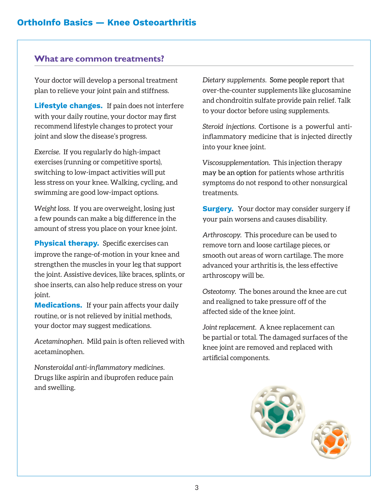#### **What are common treatments?**

Your doctor will develop a personal treatment plan to relieve your joint pain and stiffness.

**Lifestyle changes.** If pain does not interfere with your daily routine, your doctor may first recommend lifestyle changes to protect your joint and slow the disease's progress.

*Exercise.* If you regularly do high-impact exercises (running or competitive sports), switching to low-impact activities will put less stress on your knee. Walking, cycling, and swimming are good low-impact options.

*Weight loss.* If you are overweight, losing just a few pounds can make a big difference in the amount of stress you place on your knee joint.

**Physical therapy.** Specific exercises can improve the range-of-motion in your knee and strengthen the muscles in your leg that support the joint. Assistive devices, like braces, splints, or shoe inserts, can also help reduce stress on your joint.

**Medications.** If your pain affects your daily routine, or is not relieved by initial methods, your doctor may suggest medications.

*Acetaminophen.* Mild pain is often relieved with acetaminophen.

*Nonsteroidal anti-inflammatory medicines.* Drugs like aspirin and ibuprofen reduce pain and swelling.

*Dietary supplements.* Some people report that over-the-counter supplements like glucosamine and chondroitin sulfate provide pain relief. Talk to your doctor before using supplements.

*Steroid injections.* Cortisone is a powerful antiinflammatory medicine that is injected directly into your knee joint.

*Viscosupplementation.* This injection therapy may be an option for patients whose arthritis symptoms do not respond to other nonsurgical treatments.

**Surgery.** Your doctor may consider surgery if your pain worsens and causes disability.

*Arthroscopy.* This procedure can be used to remove torn and loose cartilage pieces, or smooth out areas of worn cartilage. The more advanced your arthritis is, the less effective arthroscopy will be.

*Osteotomy.* The bones around the knee are cut and realigned to take pressure off of the affected side of the knee joint.

*Joint replacement.* A knee replacement can be partial or total. The damaged surfaces of the knee joint are removed and replaced with artificial components.